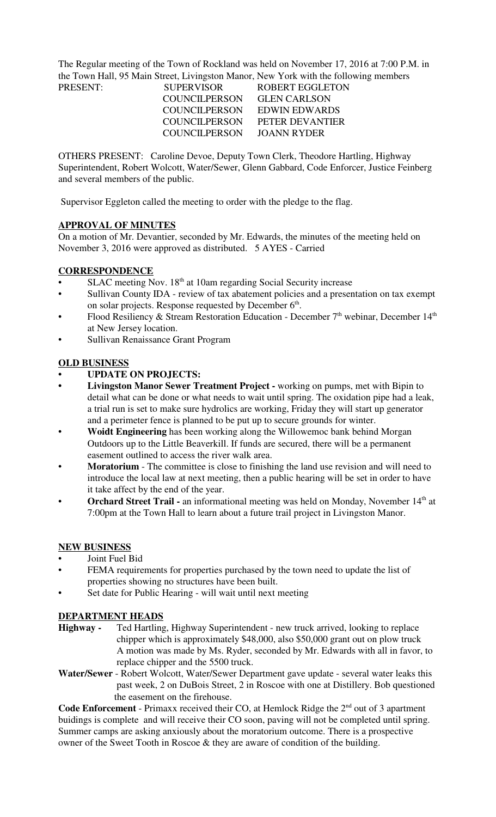The Regular meeting of the Town of Rockland was held on November 17, 2016 at 7:00 P.M. in the Town Hall, 95 Main Street, Livingston Manor, New York with the following members PRESENT:

| PRESENT: | <b>SUPERVISOR</b>    | <b>ROBERT EGGLETOI</b> |
|----------|----------------------|------------------------|
|          | COUNCIL PERSON       | <b>GLEN CARLSON</b>    |
|          | COUNCILPERSON        | EDWIN EDWARDS          |
|          | <b>COUNCILPERSON</b> | <b>PETER DEVANTIER</b> |
|          | COUNCILPERSON        | JOANN RYDER            |

OTHERS PRESENT: Caroline Devoe, Deputy Town Clerk, Theodore Hartling, Highway Superintendent, Robert Wolcott, Water/Sewer, Glenn Gabbard, Code Enforcer, Justice Feinberg and several members of the public.

Supervisor Eggleton called the meeting to order with the pledge to the flag.

## **APPROVAL OF MINUTES**

On a motion of Mr. Devantier, seconded by Mr. Edwards, the minutes of the meeting held on November 3, 2016 were approved as distributed. 5 AYES - Carried

### **CORRESPONDENCE**

- SLAC meeting Nov. 18<sup>th</sup> at 10am regarding Social Security increase
- Sullivan County IDA review of tax abatement policies and a presentation on tax exempt on solar projects. Response requested by December 6<sup>th</sup>.
- Flood Resiliency & Stream Restoration Education December 7<sup>th</sup> webinar, December 14<sup>th</sup> at New Jersey location.
- Sullivan Renaissance Grant Program

## **OLD BUSINESS**

- **UPDATE ON PROJECTS:**
- **Livingston Manor Sewer Treatment Project -** working on pumps, met with Bipin to detail what can be done or what needs to wait until spring. The oxidation pipe had a leak, a trial run is set to make sure hydrolics are working, Friday they will start up generator and a perimeter fence is planned to be put up to secure grounds for winter.
- **Woidt Engineering** has been working along the Willowemoc bank behind Morgan Outdoors up to the Little Beaverkill. If funds are secured, there will be a permanent easement outlined to access the river walk area.
- **Moratorium**  The committee is close to finishing the land use revision and will need to introduce the local law at next meeting, then a public hearing will be set in order to have it take affect by the end of the year.
- **Orchard Street Trail -** an informational meeting was held on Monday, November 14<sup>th</sup> at 7:00pm at the Town Hall to learn about a future trail project in Livingston Manor.

#### **NEW BUSINESS**

- Joint Fuel Bid
- FEMA requirements for properties purchased by the town need to update the list of properties showing no structures have been built.
- Set date for Public Hearing will wait until next meeting

#### **DEPARTMENT HEADS**

- **Highway** Ted Hartling, Highway Superintendent new truck arrived, looking to replace chipper which is approximately \$48,000, also \$50,000 grant out on plow truck A motion was made by Ms. Ryder, seconded by Mr. Edwards with all in favor, to replace chipper and the 5500 truck.
- **Water/Sewer**  Robert Wolcott, Water/Sewer Department gave update several water leaks this past week, 2 on DuBois Street, 2 in Roscoe with one at Distillery. Bob questioned the easement on the firehouse.

Code Enforcement - Primaxx received their CO, at Hemlock Ridge the 2<sup>nd</sup> out of 3 apartment buidings is complete and will receive their CO soon, paving will not be completed until spring. Summer camps are asking anxiously about the moratorium outcome. There is a prospective owner of the Sweet Tooth in Roscoe & they are aware of condition of the building.